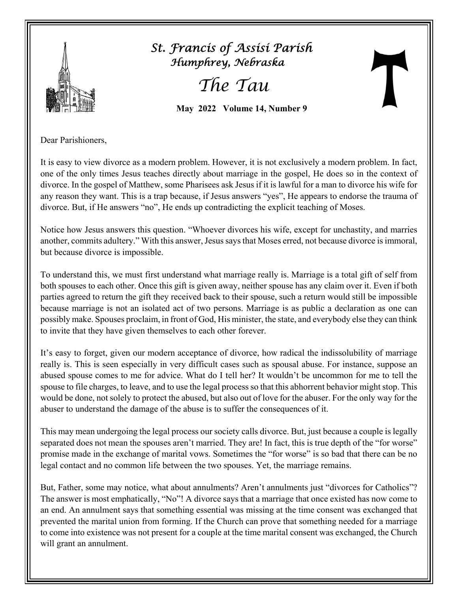

 *St. Francis of Assisi Parish Humphrey, Nebraska*

 *The Tau* 

 **May 2022 Volume 14, Number 9**

Dear Parishioners,

It is easy to view divorce as a modern problem. However, it is not exclusively a modern problem. In fact, one of the only times Jesus teaches directly about marriage in the gospel, He does so in the context of divorce. In the gospel of Matthew, some Pharisees ask Jesus if it is lawful for a man to divorce his wife for any reason they want. This is a trap because, if Jesus answers "yes", He appears to endorse the trauma of divorce. But, if He answers "no", He ends up contradicting the explicit teaching of Moses.

Notice how Jesus answers this question. "Whoever divorces his wife, except for unchastity, and marries another, commits adultery." With this answer, Jesus says that Moses erred, not because divorce is immoral, but because divorce is impossible.

To understand this, we must first understand what marriage really is. Marriage is a total gift of self from both spouses to each other. Once this gift is given away, neither spouse has any claim over it. Even if both parties agreed to return the gift they received back to their spouse, such a return would still be impossible because marriage is not an isolated act of two persons. Marriage is as public a declaration as one can possibly make. Spouses proclaim, in front of God, His minister, the state, and everybody else they can think to invite that they have given themselves to each other forever.

It's easy to forget, given our modern acceptance of divorce, how radical the indissolubility of marriage really is. This is seen especially in very difficult cases such as spousal abuse. For instance, suppose an abused spouse comes to me for advice. What do I tell her? It wouldn't be uncommon for me to tell the spouse to file charges, to leave, and to use the legal process so that this abhorrent behavior might stop. This would be done, not solely to protect the abused, but also out of love for the abuser. For the only way for the abuser to understand the damage of the abuse is to suffer the consequences of it.

This may mean undergoing the legal process our society calls divorce. But, just because a couple is legally separated does not mean the spouses aren't married. They are! In fact, this is true depth of the "for worse" promise made in the exchange of marital vows. Sometimes the "for worse" is so bad that there can be no legal contact and no common life between the two spouses. Yet, the marriage remains.

But, Father, some may notice, what about annulments? Aren't annulments just "divorces for Catholics"? The answer is most emphatically, "No"! A divorce says that a marriage that once existed has now come to an end. An annulment says that something essential was missing at the time consent was exchanged that prevented the marital union from forming. If the Church can prove that something needed for a marriage to come into existence was not present for a couple at the time marital consent was exchanged, the Church will grant an annulment.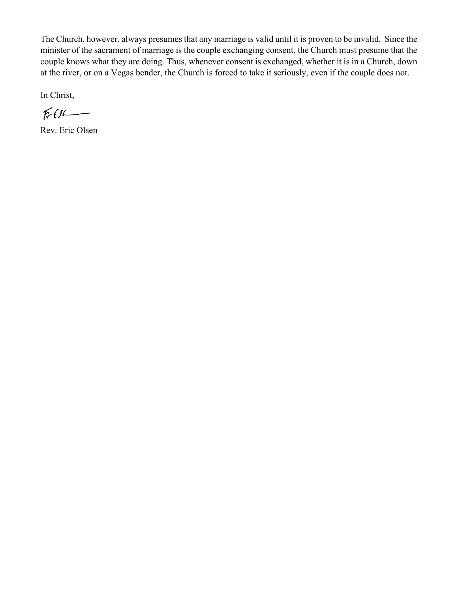The Church, however, always presumes that any marriage is valid until it is proven to be invalid. Since the minister of the sacrament of marriage is the couple exchanging consent, the Church must presume that the couple knows what they are doing. Thus, whenever consent is exchanged, whether it is in a Church, down at the river, or on a Vegas bender, the Church is forced to take it seriously, even if the couple does not.

In Christ,

 $Ff$ 

Rev. Eric Olsen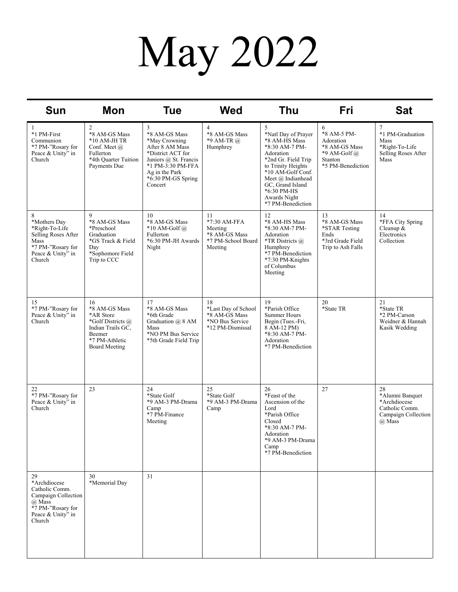# May 2022

| <b>Sun</b>                                                                                                                | <b>Mon</b>                                                                                                                     | <b>Tue</b>                                                                                                                                                                   | <b>Wed</b>                                                                        | <b>Thu</b>                                                                                                                                                                                                                              | Fri                                                                                                   | <b>Sat</b>                                                                               |
|---------------------------------------------------------------------------------------------------------------------------|--------------------------------------------------------------------------------------------------------------------------------|------------------------------------------------------------------------------------------------------------------------------------------------------------------------------|-----------------------------------------------------------------------------------|-----------------------------------------------------------------------------------------------------------------------------------------------------------------------------------------------------------------------------------------|-------------------------------------------------------------------------------------------------------|------------------------------------------------------------------------------------------|
| 1<br>*1 PM-First<br>Communion<br>*7 PM-"Rosary for<br>Peace & Unity" in<br>Church                                         | $\overline{2}$<br>*8 AM-GS Mass<br>$*10$ AM-JH TR<br>Conf. Meet @<br>Fullerton<br>*4th Ouarter Tuition<br>Payments Due         | 3<br>*8 AM-GS Mass<br>*May Crowning<br>After 8 AM Mass<br>*District ACT for<br>Juniors @ St. Francis<br>*1 PM-3:30 PM-FFA<br>Ag in the Park<br>*6:30 PM-GS Spring<br>Concert | 4<br>*8 AM-GS Mass<br>*9 AM-TR @<br>Humphrey                                      | 5<br>*Natl Day of Prayer<br>*8 AM-HS Mass<br>*8:30 AM-7 PM-<br>Adoration<br>*2nd Gr. Field Trip<br>to Trinity Heights<br>*10 AM-Golf Conf.<br>Meet @ Indianhead<br>GC, Grand Island<br>*6:30 PM-HS<br>Awards Night<br>*7 PM-Benediction | 6<br>*8 AM-5 PM-<br>Adoration<br>*8 AM-GS Mass<br>*9 AM-Golf $\omega$<br>Stanton<br>*5 PM-Benediction | 7<br>*1 PM-Graduation<br>Mass<br>*Right-To-Life<br>Selling Roses After<br>Mass           |
| 8<br>*Mothers Day<br>*Right-To-Life<br>Selling Roses After<br>Mass<br>*7 PM-"Rosary for<br>Peace & Unity" in<br>Church    | 9<br>*8 AM-GS Mass<br>*Preschool<br>Graduation<br>*GS Track & Field<br>Day<br>*Sophomore Field<br>Trip to CCC                  | 10<br>*8 AM-GS Mass<br>$*10$ AM-Golf $\omega$<br>Fullerton<br>*6:30 PM-JH Awards<br>Night                                                                                    | 11<br>*7:30 AM-FFA<br>Meeting<br>*8 AM-GS Mass<br>*7 PM-School Board<br>Meeting   | 12<br>*8 AM-HS Mass<br>*8:30 AM-7 PM-<br>Adoration<br>*TR Districts @<br>Humphrey<br>*7 PM-Benediction<br>*7:30 PM-Knights<br>of Columbus<br>Meeting                                                                                    | 13<br>*8 AM-GS Mass<br>*STAR Testing<br>Ends<br>*3rd Grade Field<br>Trip to Ash Falls                 | 14<br>*FFA City Spring<br>Cleanup &<br>Electronics<br>Collection                         |
| 15<br>*7 PM-"Rosary for<br>Peace & Unity" in<br>Church                                                                    | 16<br>*8 AM-GS Mass<br>*AR Store<br>*Golf Districts @<br>Indian Trails GC,<br>Beemer<br>*7 PM-Athletic<br><b>Board Meeting</b> | 17<br>*8 AM-GS Mass<br>*6th Grade<br>Graduation @ 8 AM<br>Mass<br>*NO PM Bus Service<br>*5th Grade Field Trip                                                                | 18<br>*Last Day of School<br>*8 AM-GS Mass<br>*NO Bus Service<br>*12 PM-Dismissal | 19<br>*Parish Office<br><b>Summer Hours</b><br>Begin (Tues.-Fri,<br>8 AM-12 PM)<br>*8:30 AM-7 PM-<br>Adoration<br>*7 PM-Benediction                                                                                                     | 20<br>*State TR                                                                                       | 21<br>*State TR<br>*2 PM-Carson<br>Weidner & Hannah<br>Kasik Wedding                     |
| 22<br>*7 PM-"Rosary for<br>Peace & Unity" in<br>Church                                                                    | 23                                                                                                                             | 24<br>*State Golf<br>*9 AM-3 PM-Drama<br>Camp<br>*7 PM-Finance<br>Meeting                                                                                                    | 25<br>*State Golf<br>*9 AM-3 PM-Drama<br>Camp                                     | 26<br>*Feast of the<br>Ascension of the<br>Lord<br>*Parish Office<br>Closed<br>*8:30 AM-7 PM-<br>Adoration<br>*9 AM-3 PM-Drama<br>Camp<br>*7 PM-Benediction                                                                             | 27                                                                                                    | 28<br>*Alumni Banquet<br>*Archdiocese<br>Catholic Comm.<br>Campaign Collection<br>@ Mass |
| 29<br>*Archdiocese<br>Catholic Comm.<br>Campaign Collection<br>@ Mass<br>*7 PM-"Rosary for<br>Peace & Unity" in<br>Church | 30<br>*Memorial Day                                                                                                            | 31                                                                                                                                                                           |                                                                                   |                                                                                                                                                                                                                                         |                                                                                                       |                                                                                          |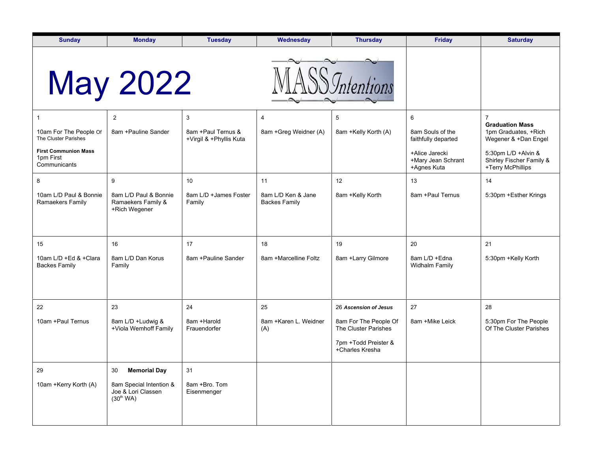| <b>Sunday</b>                                            | <b>Monday</b>                                                          | <b>Tuesday</b>                                 | Wednesday                                  | <b>Thursday</b>                               | <b>Friday</b>                                       | <b>Saturday</b>                                                        |
|----------------------------------------------------------|------------------------------------------------------------------------|------------------------------------------------|--------------------------------------------|-----------------------------------------------|-----------------------------------------------------|------------------------------------------------------------------------|
|                                                          | <b>May 2022</b>                                                        |                                                |                                            |                                               |                                                     |                                                                        |
|                                                          | 2                                                                      | 3                                              | 4                                          | 5                                             | 6                                                   | $\overline{7}$                                                         |
| 10am For The People Of<br>The Cluster Parishes           | 8am + Pauline Sander                                                   | 8am + Paul Ternus &<br>+Virgil & +Phyllis Kuta | 8am +Greg Weidner (A)                      | 8am +Kelly Korth (A)                          | 8am Souls of the<br>faithfully departed             | <b>Graduation Mass</b><br>1pm Graduates, +Rich<br>Wegener & +Dan Engel |
| <b>First Communion Mass</b><br>1pm First<br>Communicants |                                                                        |                                                |                                            |                                               | +Alice Jarecki<br>+Mary Jean Schrant<br>+Agnes Kuta | 5:30pm L/D +Alvin &<br>Shirley Fischer Family &<br>+Terry McPhillips   |
| 8                                                        | 9                                                                      | 10                                             | 11                                         | 12                                            | 13                                                  | 14                                                                     |
| 10am L/D Paul & Bonnie<br>Ramaekers Family               | 8am L/D Paul & Bonnie<br>Ramaekers Family &<br>+Rich Wegener           | 8am L/D +James Foster<br>Family                | 8am L/D Ken & Jane<br><b>Backes Family</b> | 8am +Kelly Korth                              | 8am + Paul Ternus                                   | 5:30pm +Esther Krings                                                  |
| 15                                                       | 16                                                                     | 17                                             | 18                                         | 19                                            | 20                                                  | 21                                                                     |
| 10am L/D +Ed & +Clara<br><b>Backes Family</b>            | 8am L/D Dan Korus<br>Family                                            | 8am +Pauline Sander                            | 8am +Marcelline Foltz                      | 8am +Larry Gilmore                            | 8am L/D + Edna<br><b>Widhalm Family</b>             | 5:30pm +Kelly Korth                                                    |
| 22                                                       | 23                                                                     | 24                                             | 25                                         | 26 Ascension of Jesus                         | 27                                                  | 28                                                                     |
| 10am + Paul Ternus                                       | 8am L/D +Ludwig &<br>+Viola Wemhoff Family                             | 8am +Harold<br>Frauendorfer                    | 8am +Karen L. Weidner<br>(A)               | 8am For The People Of<br>The Cluster Parishes | 8am +Mike Leick                                     | 5:30pm For The People<br>Of The Cluster Parishes                       |
|                                                          |                                                                        |                                                |                                            | 7pm +Todd Preister &<br>+Charles Kresha       |                                                     |                                                                        |
| 29                                                       | <b>Memorial Day</b><br>30                                              | 31                                             |                                            |                                               |                                                     |                                                                        |
| 10am +Kerry Korth (A)                                    | 8am Special Intention &<br>Joe & Lori Classen<br>(30 <sup>th</sup> WA) | 8am +Bro. Tom<br>Eisenmenger                   |                                            |                                               |                                                     |                                                                        |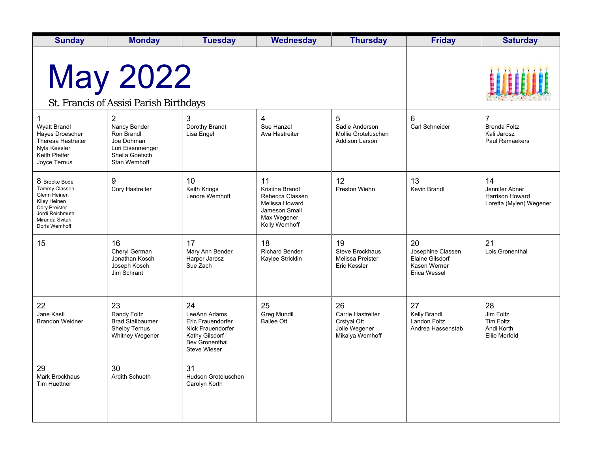| <b>Sunday</b>                                                                                                                                | <b>Monday</b>                                                                                                    | <b>Tuesday</b>                                                                                                                 | <b>Wednesday</b>                                                                                            | <b>Thursday</b>                                                                   | <b>Friday</b>                                                                     | <b>Saturday</b>                                                        |
|----------------------------------------------------------------------------------------------------------------------------------------------|------------------------------------------------------------------------------------------------------------------|--------------------------------------------------------------------------------------------------------------------------------|-------------------------------------------------------------------------------------------------------------|-----------------------------------------------------------------------------------|-----------------------------------------------------------------------------------|------------------------------------------------------------------------|
| <b>May 2022</b><br>St. Francis of Assisi Parish Birthdays                                                                                    |                                                                                                                  |                                                                                                                                |                                                                                                             |                                                                                   |                                                                                   |                                                                        |
| 1<br><b>Wyatt Brandl</b><br>Hayes Droescher<br>Theresa Hastreiter<br>Nyla Kessler<br>Keith Pfeifer<br>Joyce Ternus                           | $\overline{2}$<br>Nancy Bender<br>Ron Brandl<br>Joe Dohman<br>Lori Eisenmenger<br>Sheila Goetsch<br>Stan Wemhoff | 3<br>Dorothy Brandt<br>Lisa Engel                                                                                              | 4<br>Sue Hanzel<br>Ava Hastreiter                                                                           | 5<br>Sadie Anderson<br>Mollie Groteluschen<br><b>Addison Larson</b>               | 6<br><b>Carl Schneider</b>                                                        | $\overline{7}$<br><b>Brenda Foltz</b><br>Kali Jarosz<br>Paul Ramaekers |
| 8 Brooke Bode<br>Tammy Classen<br>Glenn Heinen<br>Kiley Heinen<br><b>Cory Preister</b><br>Jordi Reichmuth<br>Miranda Svitak<br>Doris Wemhoff | 9<br>Cory Hastreiter                                                                                             | 10<br>Keith Krings<br>Lenore Wemhoff                                                                                           | 11<br>Kristina Brandl<br>Rebecca Classen<br>Melissa Howard<br>Jameson Small<br>Max Wegener<br>Kelly Wemhoff | 12<br>Preston Wiehn                                                               | 13<br><b>Kevin Brandl</b>                                                         | 14<br>Jennifer Abner<br>Harrison Howard<br>Loretta (Mylen) Wegener     |
| 15                                                                                                                                           | 16<br>Cheryl German<br>Jonathan Kosch<br>Joseph Kosch<br>Jim Schrant                                             | 17<br>Mary Ann Bender<br>Harper Jarosz<br>Sue Zach                                                                             | 18<br><b>Richard Bender</b><br>Kaylee Stricklin                                                             | 19<br><b>Steve Brockhaus</b><br><b>Melissa Preister</b><br><b>Eric Kessler</b>    | 20<br>Josephine Classen<br><b>Elaine Gilsdorf</b><br>Kasen Werner<br>Erica Wessel | 21<br>Lois Gronenthal                                                  |
| 22<br>Jane Kastl<br><b>Brandon Weidner</b>                                                                                                   | 23<br>Randy Foltz<br><b>Brad Stallbaumer</b><br><b>Shelby Ternus</b><br><b>Whitney Wegener</b>                   | 24<br>LeeAnn Adams<br>Eric Frauendorfer<br>Nick Frauendorfer<br>Kathy Gilsdorf<br><b>Bev Gronenthal</b><br><b>Steve Wieser</b> | 25<br><b>Greg Mundil</b><br><b>Bailee Ott</b>                                                               | 26<br><b>Carrie Hastreiter</b><br>Crstyal Ott<br>Jolie Wegener<br>Mikalya Wemhoff | 27<br>Kelly Brandl<br><b>Landon Foltz</b><br>Andrea Hassenstab                    | 28<br>Jim Foltz<br><b>Tim Foltz</b><br>Andi Korth<br>Ellie Morfeld     |
| 29<br><b>Mark Brockhaus</b><br><b>Tim Huettner</b>                                                                                           | 30<br>Ardith Schueth                                                                                             | 31<br>Hudson Groteluschen<br>Carolyn Korth                                                                                     |                                                                                                             |                                                                                   |                                                                                   |                                                                        |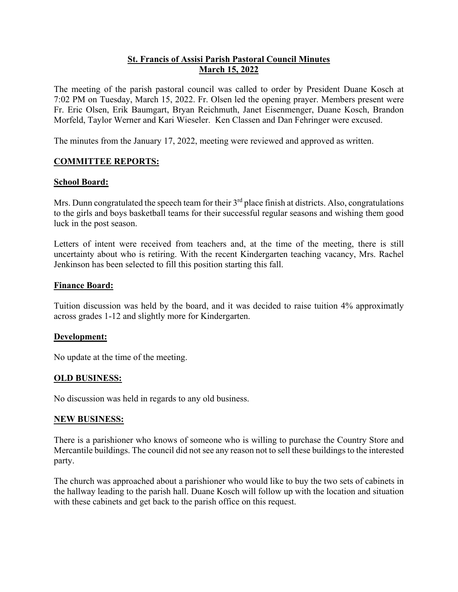# **St. Francis of Assisi Parish Pastoral Council Minutes March 15, 2022**

The meeting of the parish pastoral council was called to order by President Duane Kosch at 7:02 PM on Tuesday, March 15, 2022. Fr. Olsen led the opening prayer. Members present were Fr. Eric Olsen, Erik Baumgart, Bryan Reichmuth, Janet Eisenmenger, Duane Kosch, Brandon Morfeld, Taylor Werner and Kari Wieseler. Ken Classen and Dan Fehringer were excused.

The minutes from the January 17, 2022, meeting were reviewed and approved as written.

## **COMMITTEE REPORTS:**

#### **School Board:**

Mrs. Dunn congratulated the speech team for their  $3<sup>rd</sup>$  place finish at districts. Also, congratulations to the girls and boys basketball teams for their successful regular seasons and wishing them good luck in the post season.

Letters of intent were received from teachers and, at the time of the meeting, there is still uncertainty about who is retiring. With the recent Kindergarten teaching vacancy, Mrs. Rachel Jenkinson has been selected to fill this position starting this fall.

#### **Finance Board:**

Tuition discussion was held by the board, and it was decided to raise tuition 4% approximatly across grades 1-12 and slightly more for Kindergarten.

#### **Development:**

No update at the time of the meeting.

#### **OLD BUSINESS:**

No discussion was held in regards to any old business.

#### **NEW BUSINESS:**

There is a parishioner who knows of someone who is willing to purchase the Country Store and Mercantile buildings. The council did not see any reason not to sell these buildings to the interested party.

The church was approached about a parishioner who would like to buy the two sets of cabinets in the hallway leading to the parish hall. Duane Kosch will follow up with the location and situation with these cabinets and get back to the parish office on this request.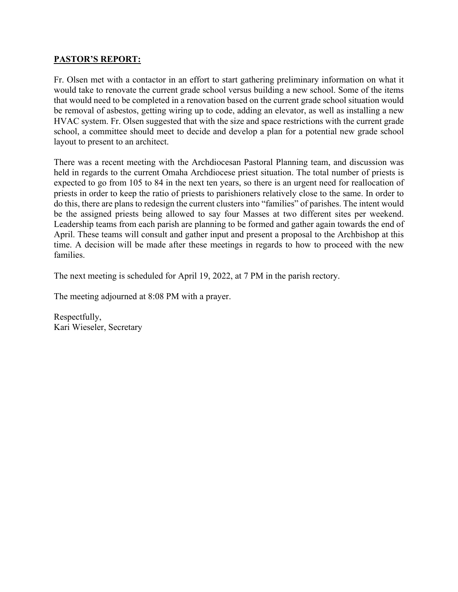## **PASTOR'S REPORT:**

Fr. Olsen met with a contactor in an effort to start gathering preliminary information on what it would take to renovate the current grade school versus building a new school. Some of the items that would need to be completed in a renovation based on the current grade school situation would be removal of asbestos, getting wiring up to code, adding an elevator, as well as installing a new HVAC system. Fr. Olsen suggested that with the size and space restrictions with the current grade school, a committee should meet to decide and develop a plan for a potential new grade school layout to present to an architect.

There was a recent meeting with the Archdiocesan Pastoral Planning team, and discussion was held in regards to the current Omaha Archdiocese priest situation. The total number of priests is expected to go from 105 to 84 in the next ten years, so there is an urgent need for reallocation of priests in order to keep the ratio of priests to parishioners relatively close to the same. In order to do this, there are plans to redesign the current clusters into "families" of parishes. The intent would be the assigned priests being allowed to say four Masses at two different sites per weekend. Leadership teams from each parish are planning to be formed and gather again towards the end of April. These teams will consult and gather input and present a proposal to the Archbishop at this time. A decision will be made after these meetings in regards to how to proceed with the new families.

The next meeting is scheduled for April 19, 2022, at 7 PM in the parish rectory.

The meeting adjourned at 8:08 PM with a prayer.

Respectfully, Kari Wieseler, Secretary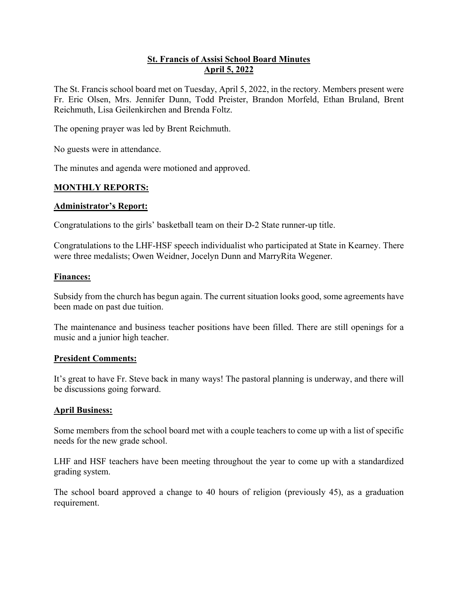# **St. Francis of Assisi School Board Minutes April 5, 2022**

The St. Francis school board met on Tuesday, April 5, 2022, in the rectory. Members present were Fr. Eric Olsen, Mrs. Jennifer Dunn, Todd Preister, Brandon Morfeld, Ethan Bruland, Brent Reichmuth, Lisa Geilenkirchen and Brenda Foltz.

The opening prayer was led by Brent Reichmuth.

No guests were in attendance.

The minutes and agenda were motioned and approved.

#### **MONTHLY REPORTS:**

#### **Administrator's Report:**

Congratulations to the girls' basketball team on their D-2 State runner-up title.

Congratulations to the LHF-HSF speech individualist who participated at State in Kearney. There were three medalists; Owen Weidner, Jocelyn Dunn and MarryRita Wegener.

#### **Finances:**

Subsidy from the church has begun again. The current situation looks good, some agreements have been made on past due tuition.

The maintenance and business teacher positions have been filled. There are still openings for a music and a junior high teacher.

#### **President Comments:**

It's great to have Fr. Steve back in many ways! The pastoral planning is underway, and there will be discussions going forward.

#### **April Business:**

Some members from the school board met with a couple teachers to come up with a list of specific needs for the new grade school.

LHF and HSF teachers have been meeting throughout the year to come up with a standardized grading system.

The school board approved a change to 40 hours of religion (previously 45), as a graduation requirement.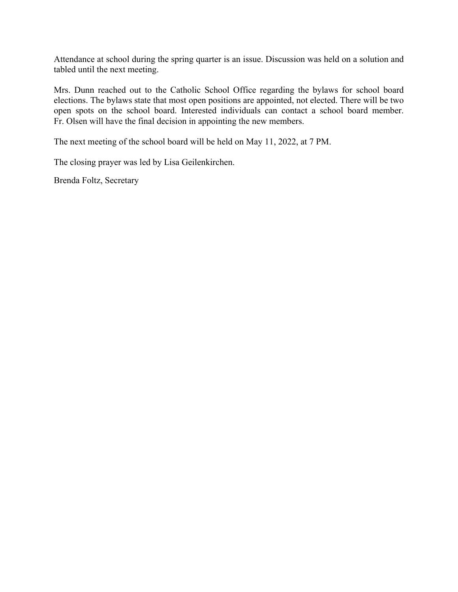Attendance at school during the spring quarter is an issue. Discussion was held on a solution and tabled until the next meeting.

Mrs. Dunn reached out to the Catholic School Office regarding the bylaws for school board elections. The bylaws state that most open positions are appointed, not elected. There will be two open spots on the school board. Interested individuals can contact a school board member. Fr. Olsen will have the final decision in appointing the new members.

The next meeting of the school board will be held on May 11, 2022, at 7 PM.

The closing prayer was led by Lisa Geilenkirchen.

Brenda Foltz, Secretary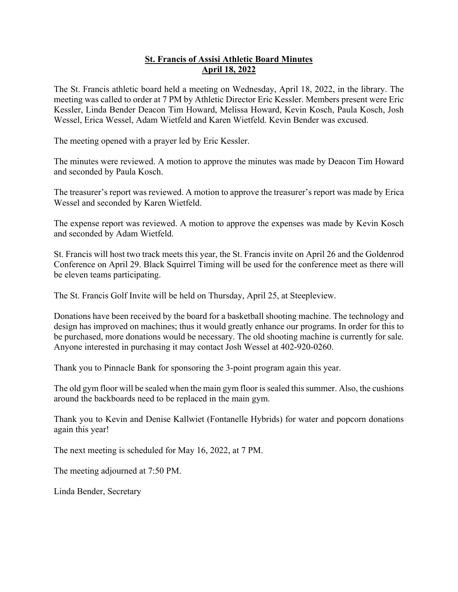# **St. Francis of Assisi Athletic Board Minutes April 18, 2022**

The St. Francis athletic board held a meeting on Wednesday, April 18, 2022, in the library. The meeting was called to order at 7 PM by Athletic Director Eric Kessler. Members present were Eric Kessler, Linda Bender Deacon Tim Howard, Melissa Howard, Kevin Kosch, Paula Kosch, Josh Wessel, Erica Wessel, Adam Wietfeld and Karen Wietfeld. Kevin Bender was excused.

The meeting opened with a prayer led by Eric Kessler.

The minutes were reviewed. A motion to approve the minutes was made by Deacon Tim Howard and seconded by Paula Kosch.

The treasurer's report was reviewed. A motion to approve the treasurer's report was made by Erica Wessel and seconded by Karen Wietfeld.

The expense report was reviewed. A motion to approve the expenses was made by Kevin Kosch and seconded by Adam Wietfeld.

St. Francis will host two track meets this year, the St. Francis invite on April 26 and the Goldenrod Conference on April 29. Black Squirrel Timing will be used for the conference meet as there will be eleven teams participating.

The St. Francis Golf Invite will be held on Thursday, April 25, at Steepleview.

Donations have been received by the board for a basketball shooting machine. The technology and design has improved on machines; thus it would greatly enhance our programs. In order for this to be purchased, more donations would be necessary. The old shooting machine is currently for sale. Anyone interested in purchasing it may contact Josh Wessel at 402-920-0260.

Thank you to Pinnacle Bank for sponsoring the 3-point program again this year.

The old gym floor will be sealed when the main gym floor is sealed this summer. Also, the cushions around the backboards need to be replaced in the main gym.

Thank you to Kevin and Denise Kallwiet (Fontanelle Hybrids) for water and popcorn donations again this year!

The next meeting is scheduled for May 16, 2022, at 7 PM.

The meeting adjourned at 7:50 PM.

Linda Bender, Secretary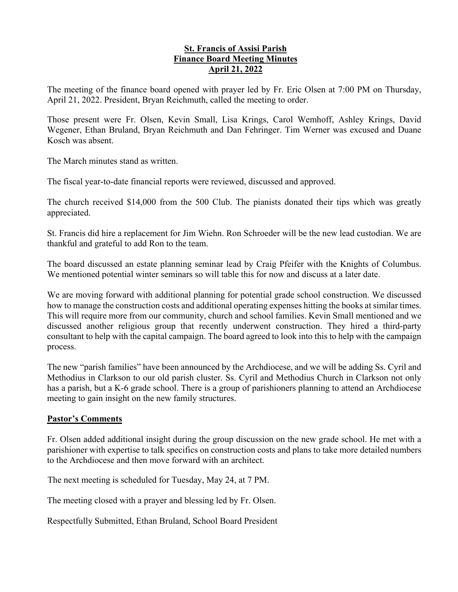#### **St. Francis of Assisi Parish Finance Board Meeting Minutes April 21, 2022**

The meeting of the finance board opened with prayer led by Fr. Eric Olsen at 7:00 PM on Thursday, April 21, 2022. President, Bryan Reichmuth, called the meeting to order.

Those present were Fr. Olsen, Kevin Small, Lisa Krings, Carol Wemhoff, Ashley Krings, David Wegener, Ethan Bruland, Bryan Reichmuth and Dan Fehringer. Tim Werner was excused and Duane Kosch was absent.

The March minutes stand as written.

The fiscal year-to-date financial reports were reviewed, discussed and approved.

The church received \$14,000 from the 500 Club. The pianists donated their tips which was greatly appreciated.

St. Francis did hire a replacement for Jim Wiehn. Ron Schroeder will be the new lead custodian. We are thankful and grateful to add Ron to the team.

The board discussed an estate planning seminar lead by Craig Pfeifer with the Knights of Columbus. We mentioned potential winter seminars so will table this for now and discuss at a later date.

We are moving forward with additional planning for potential grade school construction. We discussed how to manage the construction costs and additional operating expenses hitting the books at similar times. This will require more from our community, church and school families. Kevin Small mentioned and we discussed another religious group that recently underwent construction. They hired a third-party consultant to help with the capital campaign. The board agreed to look into this to help with the campaign process.

The new "parish families" have been announced by the Archdiocese, and we will be adding Ss. Cyril and Methodius in Clarkson to our old parish cluster. Ss. Cyril and Methodius Church in Clarkson not only has a parish, but a K-6 grade school. There is a group of parishioners planning to attend an Archdiocese meeting to gain insight on the new family structures.

# **Pastor's Comments**

Fr. Olsen added additional insight during the group discussion on the new grade school. He met with a parishioner with expertise to talk specifics on construction costs and plans to take more detailed numbers to the Archdiocese and then move forward with an architect.

The next meeting is scheduled for Tuesday, May 24, at 7 PM.

The meeting closed with a prayer and blessing led by Fr. Olsen.

Respectfully Submitted, Ethan Bruland, School Board President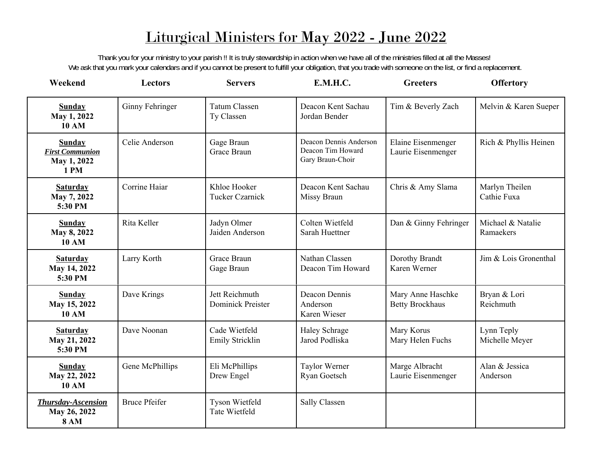# Liturgical Ministers for May 2022 - June 2022

Thank you for your ministry to your parish !! It is truly stewardship in action when we have all of the ministries filled at all the Masses! We ask that you mark your calendars and if you cannot be present to fulfill your obligation, that you trade with someone on the list, or find a replacement.

| Weekend                                                        | <b>Lectors</b>       | <b>Servers</b>                             | E.M.H.C.                                                        | <b>Greeters</b>                             | <b>Offertory</b>               |
|----------------------------------------------------------------|----------------------|--------------------------------------------|-----------------------------------------------------------------|---------------------------------------------|--------------------------------|
| <b>Sunday</b><br>May 1, 2022<br><b>10 AM</b>                   | Ginny Fehringer      | <b>Tatum Classen</b><br>Ty Classen         | Deacon Kent Sachau<br>Jordan Bender                             | Tim & Beverly Zach                          | Melvin & Karen Sueper          |
| <b>Sunday</b><br><b>First Communion</b><br>May 1, 2022<br>1 PM | Celie Anderson       | Gage Braun<br>Grace Braun                  | Deacon Dennis Anderson<br>Deacon Tim Howard<br>Gary Braun-Choir | Elaine Eisenmenger<br>Laurie Eisenmenger    | Rich & Phyllis Heinen          |
| <b>Saturday</b><br>May 7, 2022<br>5:30 PM                      | Corrine Haiar        | Khloe Hooker<br><b>Tucker Czarnick</b>     | Deacon Kent Sachau<br>Missy Braun                               | Chris & Amy Slama                           | Marlyn Theilen<br>Cathie Fuxa  |
| <b>Sunday</b><br>May 8, 2022<br><b>10 AM</b>                   | Rita Keller          | Jadyn Olmer<br>Jaiden Anderson             | Colten Wietfeld<br>Sarah Huettner                               | Dan & Ginny Fehringer                       | Michael & Natalie<br>Ramaekers |
| <b>Saturday</b><br>May 14, 2022<br>5:30 PM                     | Larry Korth          | Grace Braun<br>Gage Braun                  | Nathan Classen<br>Deacon Tim Howard                             | Dorothy Brandt<br>Karen Werner              | Jim & Lois Gronenthal          |
| <b>Sunday</b><br>May 15, 2022<br><b>10 AM</b>                  | Dave Krings          | Jett Reichmuth<br><b>Dominick Preister</b> | Deacon Dennis<br>Anderson<br>Karen Wieser                       | Mary Anne Haschke<br><b>Betty Brockhaus</b> | Bryan & Lori<br>Reichmuth      |
| <b>Saturday</b><br>May 21, 2022<br>5:30 PM                     | Dave Noonan          | Cade Wietfeld<br>Emily Stricklin           | Haley Schrage<br>Jarod Podliska                                 | Mary Korus<br>Mary Helen Fuchs              | Lynn Teply<br>Michelle Meyer   |
| <b>Sunday</b><br>May 22, 2022<br><b>10 AM</b>                  | Gene McPhillips      | Eli McPhillips<br>Drew Engel               | Taylor Werner<br>Ryan Goetsch                                   | Marge Albracht<br>Laurie Eisenmenger        | Alan & Jessica<br>Anderson     |
| <b>Thursday-Ascension</b><br>May 26, 2022<br><b>8 AM</b>       | <b>Bruce Pfeifer</b> | Tyson Wietfeld<br>Tate Wietfeld            | Sally Classen                                                   |                                             |                                |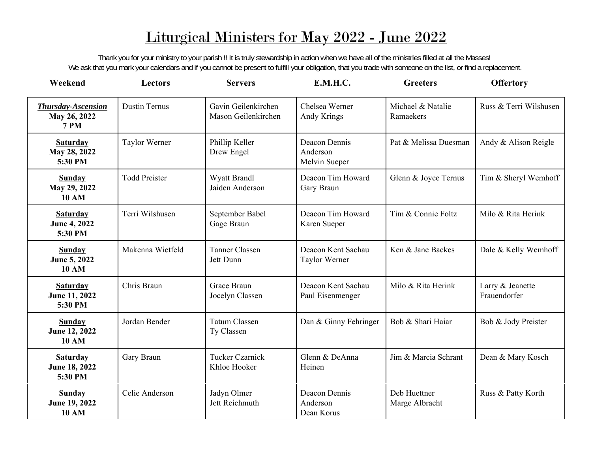# Liturgical Ministers for May 2022 - June 2022

Thank you for your ministry to your parish !! It is truly stewardship in action when we have all of the ministries filled at all the Masses! We ask that you mark your calendars and if you cannot be present to fulfill your obligation, that you trade with someone on the list, or find a replacement.

| Weekend                                                  | <b>Lectors</b>       | <b>Servers</b>                             | <b>E.M.H.C.</b>                            | <b>Greeters</b>                | <b>Offertory</b>                 |
|----------------------------------------------------------|----------------------|--------------------------------------------|--------------------------------------------|--------------------------------|----------------------------------|
| <b>Thursday-Ascension</b><br>May 26, 2022<br><b>7 PM</b> | <b>Dustin Ternus</b> | Gavin Geilenkirchen<br>Mason Geilenkirchen | Chelsea Werner<br>Andy Krings              | Michael & Natalie<br>Ramaekers | Russ & Terri Wilshusen           |
| <b>Saturday</b><br>May 28, 2022<br>5:30 PM               | Taylor Werner        | Phillip Keller<br>Drew Engel               | Deacon Dennis<br>Anderson<br>Melvin Sueper | Pat & Melissa Duesman          | Andy & Alison Reigle             |
| <b>Sunday</b><br>May 29, 2022<br><b>10 AM</b>            | <b>Todd Preister</b> | Wyatt Brandl<br>Jaiden Anderson            | Deacon Tim Howard<br>Gary Braun            | Glenn & Joyce Ternus           | Tim & Sheryl Wemhoff             |
| <b>Saturday</b><br>June 4, 2022<br>5:30 PM               | Terri Wilshusen      | September Babel<br>Gage Braun              | Deacon Tim Howard<br>Karen Sueper          | Tim & Connie Foltz             | Milo & Rita Herink               |
| <b>Sunday</b><br>June 5, 2022<br><b>10 AM</b>            | Makenna Wietfeld     | <b>Tanner Classen</b><br>Jett Dunn         | Deacon Kent Sachau<br>Taylor Werner        | Ken & Jane Backes              | Dale & Kelly Wemhoff             |
| <b>Saturday</b><br>June 11, 2022<br>5:30 PM              | Chris Braun          | Grace Braun<br>Jocelyn Classen             | Deacon Kent Sachau<br>Paul Eisenmenger     | Milo & Rita Herink             | Larry & Jeanette<br>Frauendorfer |
| <b>Sunday</b><br>June 12, 2022<br><b>10 AM</b>           | Jordan Bender        | <b>Tatum Classen</b><br>Ty Classen         | Dan & Ginny Fehringer                      | Bob & Shari Hajar              | Bob & Jody Preister              |
| <b>Saturday</b><br>June 18, 2022<br>5:30 PM              | Gary Braun           | <b>Tucker Czarnick</b><br>Khloe Hooker     | Glenn & DeAnna<br>Heinen                   | Jim & Marcia Schrant           | Dean & Mary Kosch                |
| <b>Sunday</b><br>June 19, 2022<br><b>10 AM</b>           | Celie Anderson       | Jadyn Olmer<br>Jett Reichmuth              | Deacon Dennis<br>Anderson<br>Dean Korus    | Deb Huettner<br>Marge Albracht | Russ & Patty Korth               |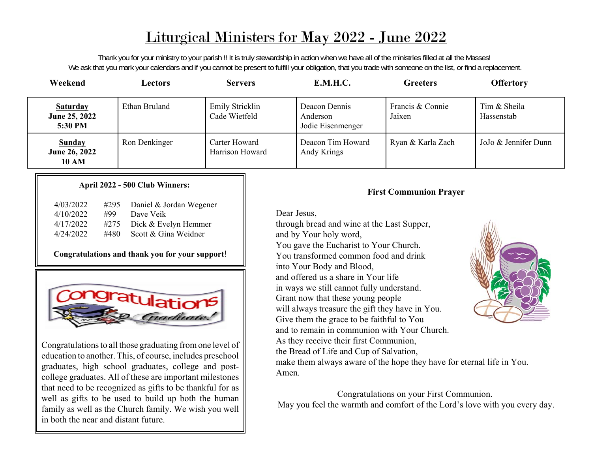# Liturgical Ministers for May 2022 - June 2022

Thank you for your ministry to your parish !! It is truly stewardship in action when we have all of the ministries filled at all the Masses! We ask that you mark your calendars and if you cannot be present to fulfill your obligation, that you trade with someone on the list, or find a replacement.

| Weekend                                        | <b>Lectors</b> | <b>Servers</b>                   | E.M.H.C.                                       | <b>Greeters</b>            | <b>Offertory</b>           |
|------------------------------------------------|----------------|----------------------------------|------------------------------------------------|----------------------------|----------------------------|
| <b>Saturday</b><br>June 25, 2022<br>5:30 PM    | Ethan Bruland  | Emily Stricklin<br>Cade Wietfeld | Deacon Dennis<br>Anderson<br>Jodie Eisenmenger | Francis & Connie<br>Jaixen | Tim & Sheila<br>Hassenstab |
| <b>Sunday</b><br>June 26, 2022<br><b>10 AM</b> | Ron Denkinger  | Carter Howard<br>Harrison Howard | Deacon Tim Howard<br>Andy Krings               | Ryan & Karla Zach          | JoJo & Jennifer Dunn       |

#### **April 2022 - 500 Club Winners:**

| 4/03/2022 | #295 | Daniel & Jordan Wegener |
|-----------|------|-------------------------|
| 4/10/2022 | #99  | Dave Veik               |
| 4/17/2022 | #275 | Dick & Evelyn Hemmer    |
| 4/24/2022 | #480 | Scott & Gina Weidner    |

## **Congratulations and thank you for your support**!



Congratulations to all those graduating from one level of education to another. This, of course, includes preschool graduates, high school graduates, college and postcollege graduates. All of these are important milestones that need to be recognized as gifts to be thankful for as well as gifts to be used to build up both the human family as well as the Church family. We wish you well in both the near and distant future.

# **First Communion Prayer**

Dear Jesus,

through bread and wine at the Last Supper, and by Your holy word, You gave the Eucharist to Your Church. You transformed common food and drinkinto Your Body and Blood, and offered us a share in Your lifein ways we still cannot fully understand. Grant now that these young people will always treasure the gift they have in You. Give them the grace to be faithful to You and to remain in communion with Your Church.As they receive their first Communion, the Bread of Life and Cup of Salvation,



make them always aware of the hope they have for eternal life in You. Amen.

Congratulations on your First Communion. May you feel the warmth and comfort of the Lord's love with you every day.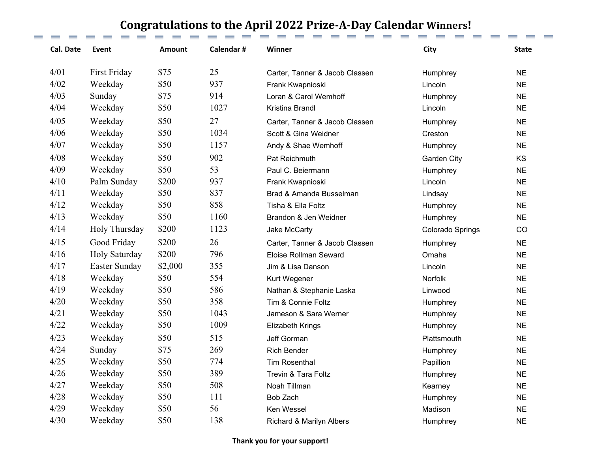# **Congratulations to the April 2022 Prize‐A‐Day Calendar Winners!**

| <b>Cal. Date</b> | Event               | <b>Amount</b> | Calendar# | Winner                         | City             | <b>State</b> |
|------------------|---------------------|---------------|-----------|--------------------------------|------------------|--------------|
| 4/01             | <b>First Friday</b> | \$75          | 25        | Carter, Tanner & Jacob Classen | Humphrey         | <b>NE</b>    |
| 4/02             | Weekday             | \$50          | 937       | Frank Kwapnioski               | Lincoln          | <b>NE</b>    |
| 4/03             | Sunday              | \$75          | 914       | Loran & Carol Wemhoff          | Humphrey         | <b>NE</b>    |
| 4/04             | Weekday             | \$50          | 1027      | Kristina Brandl                | Lincoln          | <b>NE</b>    |
| 4/05             | Weekday             | \$50          | 27        | Carter, Tanner & Jacob Classen | Humphrey         | <b>NE</b>    |
| 4/06             | Weekday             | \$50          | 1034      | Scott & Gina Weidner           | Creston          | <b>NE</b>    |
| 4/07             | Weekday             | \$50          | 1157      | Andy & Shae Wemhoff            | Humphrey         | <b>NE</b>    |
| 4/08             | Weekday             | \$50          | 902       | Pat Reichmuth                  | Garden City      | KS           |
| 4/09             | Weekday             | \$50          | 53        | Paul C. Beiermann              | Humphrey         | <b>NE</b>    |
| 4/10             | Palm Sunday         | \$200         | 937       | Frank Kwapnioski               | Lincoln          | <b>NE</b>    |
| 4/11             | Weekday             | \$50          | 837       | Brad & Amanda Busselman        | Lindsay          | <b>NE</b>    |
| 4/12             | Weekday             | \$50          | 858       | Tisha & Ella Foltz             | Humphrey         | <b>NE</b>    |
| 4/13             | Weekday             | \$50          | 1160      | Brandon & Jen Weidner          | Humphrey         | <b>NE</b>    |
| 4/14             | Holy Thursday       | \$200         | 1123      | Jake McCarty                   | Colorado Springs | CO           |
| 4/15             | Good Friday         | \$200         | 26        | Carter, Tanner & Jacob Classen | Humphrey         | <b>NE</b>    |
| 4/16             | Holy Saturday       | \$200         | 796       | Eloise Rollman Seward          | Omaha            | <b>NE</b>    |
| 4/17             | Easter Sunday       | \$2,000       | 355       | Jim & Lisa Danson              | Lincoln          | <b>NE</b>    |
| 4/18             | Weekday             | \$50          | 554       | Kurt Wegener                   | Norfolk          | <b>NE</b>    |
| 4/19             | Weekday             | \$50          | 586       | Nathan & Stephanie Laska       | Linwood          | <b>NE</b>    |
| 4/20             | Weekday             | \$50          | 358       | Tim & Connie Foltz             | Humphrey         | <b>NE</b>    |
| 4/21             | Weekday             | \$50          | 1043      | Jameson & Sara Werner          | Humphrey         | <b>NE</b>    |
| 4/22             | Weekday             | \$50          | 1009      | <b>Elizabeth Krings</b>        | Humphrey         | <b>NE</b>    |
| 4/23             | Weekday             | \$50          | 515       | Jeff Gorman                    | Plattsmouth      | <b>NE</b>    |
| 4/24             | Sunday              | \$75          | 269       | <b>Rich Bender</b>             | Humphrey         | <b>NE</b>    |
| 4/25             | Weekday             | \$50          | 774       | <b>Tim Rosenthal</b>           | Papillion        | <b>NE</b>    |
| 4/26             | Weekday             | \$50          | 389       | Trevin & Tara Foltz            | Humphrey         | <b>NE</b>    |
| 4/27             | Weekday             | \$50          | 508       | Noah Tillman                   | Kearney          | <b>NE</b>    |
| 4/28             | Weekday             | \$50          | 111       | <b>Bob Zach</b>                | Humphrey         | <b>NE</b>    |
| 4/29             | Weekday             | \$50          | 56        | Ken Wessel                     | Madison          | <b>NE</b>    |
| 4/30             | Weekday             | \$50          | 138       | Richard & Marilyn Albers       | Humphrey         | <b>NE</b>    |